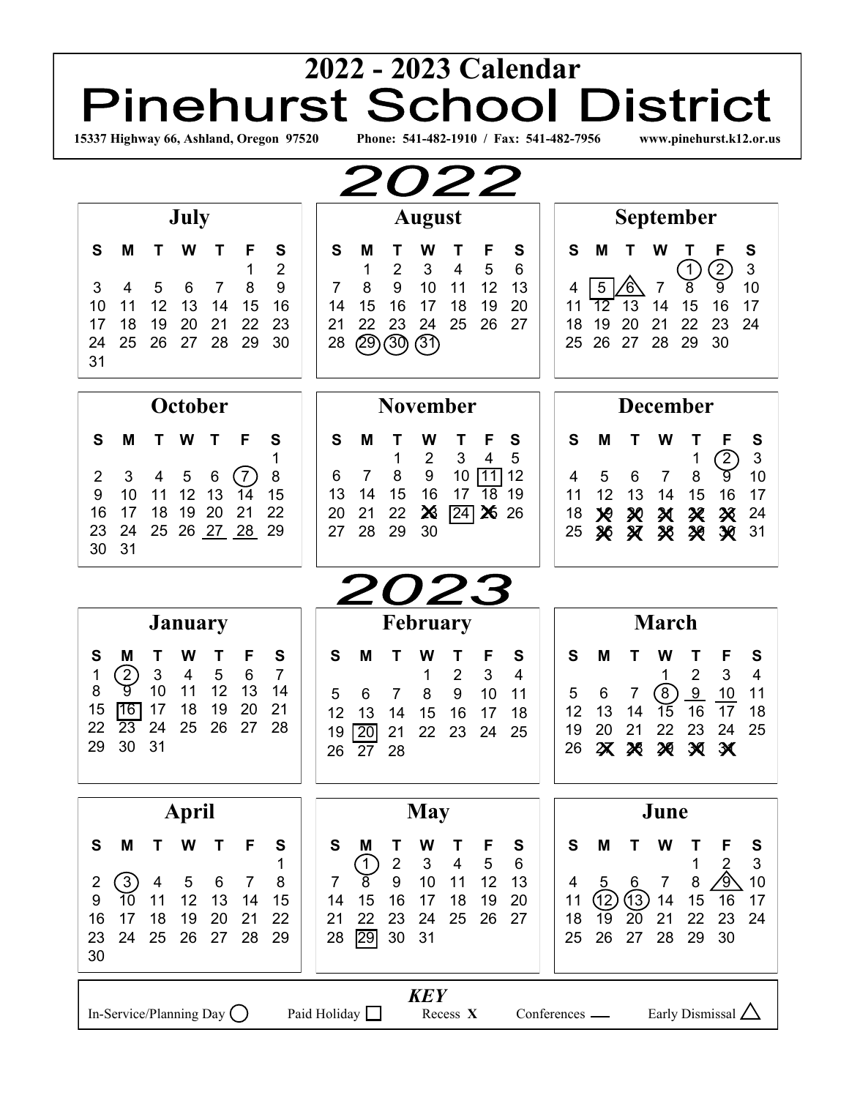# <sup>2022</sup> <sup>2023 Calendar</sup><br>Pinehurst School District **15337 Highway 66, Ashland, Oregon 97520 Phone: 541-482-1910 / Fax: 541-482-7956 www.pinehurst.k12.or.us**

| <i><b>2022</b></i>                                                                                                                                                                                                                                                                         |                                                                                                                                                                                                                                                                                                       |                                                                                                                                                                                                                                                                                                     |  |  |  |  |  |
|--------------------------------------------------------------------------------------------------------------------------------------------------------------------------------------------------------------------------------------------------------------------------------------------|-------------------------------------------------------------------------------------------------------------------------------------------------------------------------------------------------------------------------------------------------------------------------------------------------------|-----------------------------------------------------------------------------------------------------------------------------------------------------------------------------------------------------------------------------------------------------------------------------------------------------|--|--|--|--|--|
| July                                                                                                                                                                                                                                                                                       | <b>August</b>                                                                                                                                                                                                                                                                                         | <b>September</b>                                                                                                                                                                                                                                                                                    |  |  |  |  |  |
| S<br>M<br>W<br>S<br>F<br>т<br>т<br>$\overline{2}$<br>1<br>9<br>3<br>5<br>6<br>8<br>4<br>7<br>12<br>13<br>16<br>10<br>14<br>15<br>11<br>18<br>19<br>20<br>22<br>23<br>21<br>17<br>25<br>28<br>26<br>27<br>29<br>30<br>24<br>31                                                              | S<br>W<br>S<br>M<br>F<br>Τ<br>т<br>$\overline{2}$<br>3<br>5<br>$\overline{4}$<br>6<br>1<br>9<br>12<br>7<br>8<br>10<br>13<br>11<br>15<br>16<br>19<br>20<br>17<br>18<br>14<br>22<br>23<br>24<br>25<br>26<br>27<br>21<br>(31)<br>29)<br>(30)<br>28                                                       | S<br>S<br>M<br>W<br>F<br>$\frac{2}{9}$<br>$\mathsf 3$<br>$\overline{1}$<br>10<br>7<br>5<br>8<br>6<br>4<br>14<br>15<br>16<br>17<br>$\overline{12}$<br>13<br>11<br>19<br>20<br>22<br>23<br>24<br>18<br>21<br>26<br>29<br>30<br>25<br>27<br>28                                                         |  |  |  |  |  |
| October<br><b>November</b>                                                                                                                                                                                                                                                                 |                                                                                                                                                                                                                                                                                                       | <b>December</b>                                                                                                                                                                                                                                                                                     |  |  |  |  |  |
| S<br>M<br>F<br>S<br>w<br>т<br>$\left(7\right)$<br>3<br>5<br>6<br>8<br>$\overline{2}$<br>4<br>9<br>10<br>12<br>13<br>15<br>14<br>11<br>17<br>16<br>18<br>19<br>20<br>21<br>22<br>24<br>27<br>23<br>25<br>26<br>28<br>29<br>31<br>30                                                         | S<br>S<br>M<br>W<br>F<br>$\overline{2}$<br>3<br>$\overline{4}$<br>5<br>1<br>8<br>$\boldsymbol{9}$<br>10<br>$\boxed{11}$<br>12<br>6<br>7<br>13<br>16<br>14<br>15<br>17<br>18<br>19<br>$\boldsymbol{\chi}$<br>$\sqrt{24} \times$<br>20<br>21<br>22<br>26<br>28<br>29<br>30<br>27                        | S<br>S<br>Μ<br>F<br>w<br>3<br>1<br>$\left(2\right)$<br>8<br>ৰ্তু<br>10<br>5<br>6<br>7<br>4<br>12<br>13<br>16<br>15<br>17<br>11<br>14<br>18<br>24<br>$\chi$<br>X<br>癸<br>Ŗ<br>X<br>25<br>36<br>31<br>X<br>28<br><b>X</b><br>$\mathcal{R}$                                                            |  |  |  |  |  |
| <i>2023</i>                                                                                                                                                                                                                                                                                |                                                                                                                                                                                                                                                                                                       |                                                                                                                                                                                                                                                                                                     |  |  |  |  |  |
| <b>January</b>                                                                                                                                                                                                                                                                             | <b>February</b>                                                                                                                                                                                                                                                                                       | <b>March</b>                                                                                                                                                                                                                                                                                        |  |  |  |  |  |
| S<br>S<br>W<br>F<br>M<br>т<br>$\left( \frac{2}{2} \right)$<br>$\overline{7}$<br>$\mathbf{3}$<br>5<br>$\overline{4}$<br>6<br>1<br>ত্য<br>10<br>8<br>11<br>12<br>13<br>14<br>16<br>17<br>18<br>19<br>15<br>20<br>21<br>$\overline{23}$<br>26<br>22<br>24<br>25<br>27<br>28<br>30<br>31<br>29 | S<br>M<br>F<br>S<br>Τ<br>w<br>3<br>$\overline{2}$<br>1<br>4<br>8<br>9<br>10<br>$\overline{7}$<br>5<br>6<br>11<br>12<br>13<br>15<br>14<br>16<br>17<br>18<br>22<br>23<br>25<br>19<br>20<br>21<br>24<br>26<br>27<br>28                                                                                   | S<br>S<br>M<br>W<br>F<br>Т<br>$\overline{2}$<br>3<br>4<br>1<br>$\left[8\right]$<br>9<br>5<br>7<br>11<br>6<br>10<br>16<br>12<br>17<br>13<br>15<br>14<br>18<br>19<br>25<br>21<br>22<br>23<br>24<br>20<br>$\chi$<br>$\chi$<br>20<br>$\boldsymbol{\mathcal{R}}$<br>26<br>$\mathbf{\mathbf{\mathsf{X}}}$ |  |  |  |  |  |
| April                                                                                                                                                                                                                                                                                      | <b>May</b>                                                                                                                                                                                                                                                                                            | June                                                                                                                                                                                                                                                                                                |  |  |  |  |  |
| S<br>M<br>W<br>F<br>S<br>Τ<br>т<br>1<br>8<br>$\overline{2}$<br>$\left[3\right]$<br>5<br>4<br>6<br>7<br>11<br>12<br>13<br>15<br>9<br>14<br>10<br>17<br>18<br>19<br>20<br>22<br>16<br>21<br>23<br>24<br>25<br>26<br>27<br>28<br>29<br>30                                                     | S<br>W<br>S<br>M<br>F<br>Τ<br>$\sqrt{2}$<br>$\sqrt{5}$<br>3<br>$6\phantom{1}6$<br>4<br>$\begin{bmatrix} 1 \end{bmatrix}$<br>$\overline{9}$<br>$\overline{8}$<br>10<br>12<br>13<br>11<br>7<br>15<br>16<br>17<br>18<br>19<br>20<br>14<br>22<br>23<br>25<br>26<br>27<br>21<br>24<br>29<br>30<br>31<br>28 | S<br>M<br>W<br>S<br>Τ<br>F<br>$\overline{2}$<br>$\sqrt{3}$<br>1<br>份<br>10<br>8<br>$\overline{7}$<br>5<br>4<br>6<br>$\mathbb{Q}$<br>(13)<br>15<br>14<br>16<br>17<br>11<br>21<br>22<br>23<br>19<br>20<br>24<br>18<br>27<br>26<br>28<br>29<br>30<br>25                                                |  |  |  |  |  |
|                                                                                                                                                                                                                                                                                            | <b>KEY</b>                                                                                                                                                                                                                                                                                            |                                                                                                                                                                                                                                                                                                     |  |  |  |  |  |